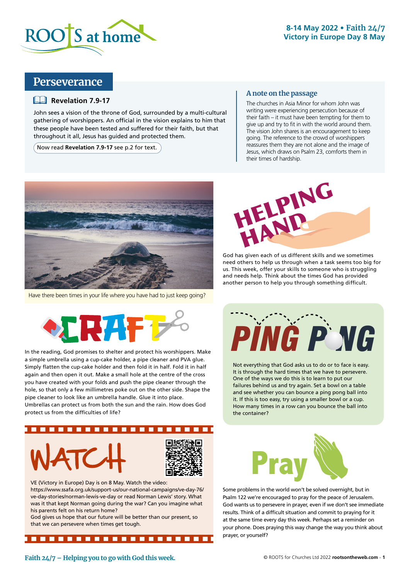

### **8-14 May 2022 • Faith 24/7 Victory in Europe Day 8 May**

### **Perseverance**

#### **Example 7.9-17**

John sees a vision of the throne of God, surrounded by a multi-cultural gathering of worshippers. An official in the vision explains to him that these people have been tested and suffered for their faith, but that throughout it all, Jesus has guided and protected them.

Now read **Revelation 7.9-17** see p.2 for text.

#### **A note on the passage**

The churches in Asia Minor for whom John was writing were experiencing persecution because of their faith – it must have been tempting for them to give up and try to fit in with the world around them. The vision John shares is an encouragement to keep going. The reference to the crowd of worshippers reassures them they are not alone and the image of Jesus, which draws on Psalm 23, comforts them in their times of hardship.



Have there been times in your life where you have had to just keep going?



In the reading, God promises to shelter and protect his worshippers. Make a simple umbrella using a cup-cake holder, a pipe cleaner and PVA glue. Simply flatten the cup-cake holder and then fold it in half. Fold it in half again and then open it out. Make a small hole at the centre of the cross you have created with your folds and push the pipe cleaner through the hole, so that only a few millimetres poke out on the other side. Shape the pipe cleaner to look like an umbrella handle. Glue it into place. Umbrellas can protect us from both the sun and the rain. How does God protect us from the difficulties of life?



VE (Victory in Europe) Day is on 8 May. Watch the video: https://www.ssafa.org.uk/support-us/our-national-campaigns/ve-day-76/ ve-day-stories/norman-lewis-ve-day or read Norman Lewis' story. What was it that kept Norman going during the war? Can you imagine what his parents felt on his return home?

God gives us hope that our future will be better than our present, so that we can persevere when times get tough.

..................



God has given each of us different skills and we sometimes need others to help us through when a task seems too big for us. This week, offer your skills to someone who is struggling and needs help. Think about the times God has provided another person to help you through something difficult.



Not everything that God asks us to do or to face is easy. It is through the hard times that we have to persevere. One of the ways we do this is to learn to put our failures behind us and try again. Set a bowl on a table and see whether you can bounce a ping pong ball into it. If this is too easy, try using a smaller bowl or a cup. How many times in a row can you bounce the ball into the container?



Some problems in the world won't be solved overnight, but in Psalm 122 we're encouraged to pray for the peace of Jerusalem. God wants us to persevere in prayer, even if we don't see immediate results. Think of a difficult situation and commit to praying for it at the same time every day this week. Perhaps set a reminder on your phone. Does praying this way change the way you think about prayer, or yourself?